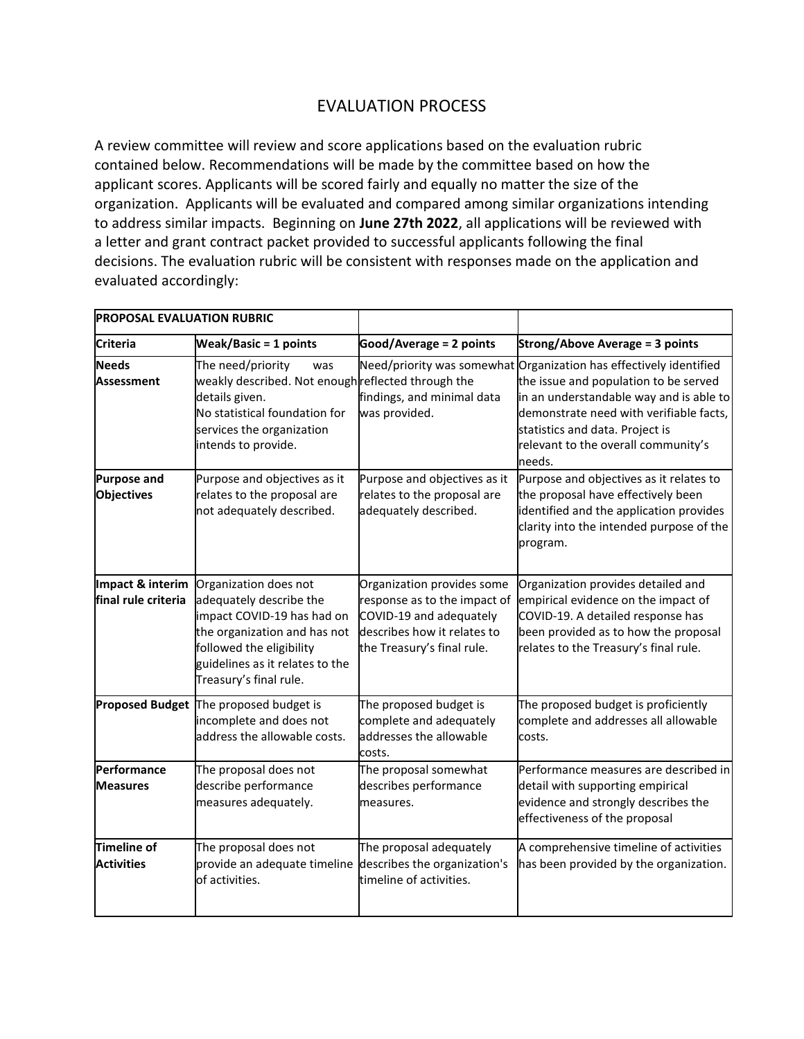## EVALUATION PROCESS

A review committee will review and score applications based on the evaluation rubric contained below. Recommendations will be made by the committee based on how the applicant scores. Applicants will be scored fairly and equally no matter the size of the organization. Applicants will be evaluated and compared among similar organizations intending to address similar impacts. Beginning on **June 27th 2022**, all applications will be reviewed with a letter and grant contract packet provided to successful applicants following the final decisions. The evaluation rubric will be consistent with responses made on the application and evaluated accordingly:

| <b>PROPOSAL EVALUATION RUBRIC</b>       |                                                                                                                                                                                                         |                                                                                                                                                    |                                                                                                                                                                                                                                                                                       |
|-----------------------------------------|---------------------------------------------------------------------------------------------------------------------------------------------------------------------------------------------------------|----------------------------------------------------------------------------------------------------------------------------------------------------|---------------------------------------------------------------------------------------------------------------------------------------------------------------------------------------------------------------------------------------------------------------------------------------|
| <b>Criteria</b>                         | <b>Weak/Basic = 1 points</b>                                                                                                                                                                            | Good/Average = 2 points                                                                                                                            | <b>Strong/Above Average = 3 points</b>                                                                                                                                                                                                                                                |
| <b>Needs</b><br><b>Assessment</b>       | The need/priority<br>was<br>weakly described. Not enough reflected through the<br>details given.<br>No statistical foundation for<br>services the organization<br>intends to provide.                   | findings, and minimal data<br>was provided.                                                                                                        | Need/priority was somewhat Organization has effectively identified<br>the issue and population to be served<br>in an understandable way and is able to<br>demonstrate need with verifiable facts,<br>statistics and data. Project is<br>relevant to the overall community's<br>needs. |
| <b>Purpose and</b><br><b>Objectives</b> | Purpose and objectives as it<br>relates to the proposal are<br>not adequately described.                                                                                                                | Purpose and objectives as it<br>relates to the proposal are<br>adequately described.                                                               | Purpose and objectives as it relates to<br>the proposal have effectively been<br>identified and the application provides<br>clarity into the intended purpose of the<br>program.                                                                                                      |
| Impact & interim<br>final rule criteria | Organization does not<br>adequately describe the<br>impact COVID-19 has had on<br>the organization and has not<br>followed the eligibility<br>guidelines as it relates to the<br>Treasury's final rule. | Organization provides some<br>response as to the impact of<br>COVID-19 and adequately<br>describes how it relates to<br>the Treasury's final rule. | Organization provides detailed and<br>empirical evidence on the impact of<br>COVID-19. A detailed response has<br>been provided as to how the proposal<br>relates to the Treasury's final rule.                                                                                       |
| <b>Proposed Budget</b>                  | The proposed budget is<br>incomplete and does not<br>address the allowable costs.                                                                                                                       | The proposed budget is<br>complete and adequately<br>addresses the allowable<br>costs.                                                             | The proposed budget is proficiently<br>complete and addresses all allowable<br>costs.                                                                                                                                                                                                 |
| Performance<br><b>Measures</b>          | The proposal does not<br>describe performance<br>measures adequately.                                                                                                                                   | The proposal somewhat<br>describes performance<br>measures.                                                                                        | Performance measures are described in<br>detail with supporting empirical<br>evidence and strongly describes the<br>effectiveness of the proposal                                                                                                                                     |
| Timeline of<br><b>Activities</b>        | The proposal does not<br>provide an adequate timeline describes the organization's<br>of activities.                                                                                                    | The proposal adequately<br>timeline of activities.                                                                                                 | A comprehensive timeline of activities<br>has been provided by the organization.                                                                                                                                                                                                      |